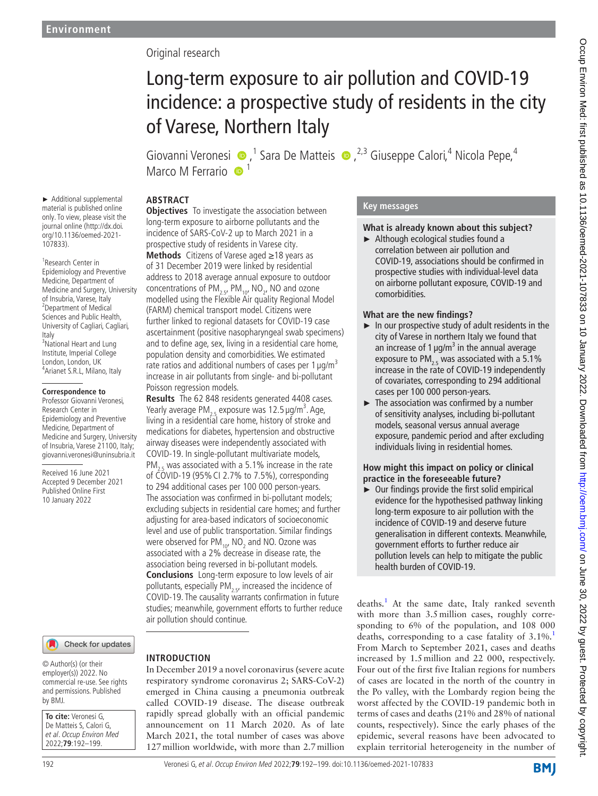# Original research

# Long-term exposure to air pollution and COVID-19 incidence: a prospective study of residents in the city of Varese, Northern Italy

GiovanniVeronesi (D, <sup>1</sup> Sara De Matteis (D, <sup>2,3</sup> Giuseppe Calori, <sup>4</sup> Nicola Pepe, <sup>4</sup> Marco M Ferrario <sup>1</sup>

# **ABSTRACT**

► Additional supplemental material is published online only. To view, please visit the journal online ([http://dx.doi.](http://dx.doi.org/10.1136/oemed-2021-107833) [org/10.1136/oemed-2021-](http://dx.doi.org/10.1136/oemed-2021-107833) [107833](http://dx.doi.org/10.1136/oemed-2021-107833)).

1 Research Center in Epidemiology and Preventive Medicine, Department of Medicine and Surgery, University of Insubria, Varese, Italy <sup>2</sup>Department of Medical Sciences and Public Health, University of Cagliari, Cagliari, Italy <sup>3</sup>National Heart and Lung Institute, Imperial College London, London, UK <sup>4</sup> Arianet S.R.L, Milano, Italy

#### **Correspondence to**

Professor Giovanni Veronesi, Research Center in Epidemiology and Preventive Medicine, Department of Medicine and Surgery, University of Insubria, Varese 21100, Italy; giovanni.veronesi@uninsubria.it

Received 16 June 2021 Accepted 9 December 2021 Published Online First 10 January 2022

## Check for updates

© Author(s) (or their employer(s)) 2022. No commercial re-use. See rights and permissions. Published by BMJ.

**To cite:** Veronesi G, De Matteis S, Calori G, et al. Occup Environ Med 2022;**79**:192–199.

**Objectives** To investigate the association between long-term exposure to airborne pollutants and the incidence of SARS-CoV-2 up to March 2021 in a prospective study of residents in Varese city. **Methods** Citizens of Varese aged ≥18 years as of 31 December 2019 were linked by residential address to 2018 average annual exposure to outdoor concentrations of  $PM_{2.5}$ ,  $PM_{10}$ , NO<sub>2</sub>, NO and ozone modelled using the Flexible Air quality Regional Model (FARM) chemical transport model. Citizens were further linked to regional datasets for COVID-19 case ascertainment (positive nasopharyngeal swab specimens) and to define age, sex, living in a residential care home, population density and comorbidities. We estimated rate ratios and additional numbers of cases per  $1 \mu q/m^3$ 

increase in air pollutants from single- and bi-pollutant Poisson regression models.

**Results** The 62 848 residents generated 4408 cases. Yearly average  $PM_{2.5}$  exposure was 12.5  $\mu$ g/m<sup>3</sup>. Age, living in a residential care home, history of stroke and medications for diabetes, hypertension and obstructive airway diseases were independently associated with COVID-19. In single-pollutant multivariate models,

 $PM_{2.5}$  was associated with a 5.1% increase in the rate of COVID-19 (95%CI 2.7% to 7.5%), corresponding to 294 additional cases per 100 000 person-years. The association was confirmed in bi-pollutant models; excluding subjects in residential care homes; and further adjusting for area-based indicators of socioeconomic level and use of public transportation. Similar findings were observed for PM<sub>10</sub>, NO<sub>2</sub> and NO. Ozone was associated with a 2% decrease in disease rate, the association being reversed in bi-pollutant models. **Conclusions** Long-term exposure to low levels of air pollutants, especially  $PM_{2.5}$ , increased the incidence of COVID-19. The causality warrants confirmation in future studies; meanwhile, government efforts to further reduce air pollution should continue.

# **INTRODUCTION**

In December 2019 a novel coronavirus (severe acute respiratory syndrome coronavirus 2; SARS-CoV-2) emerged in China causing a pneumonia outbreak called COVID-19 disease. The disease outbreak rapidly spread globally with an official pandemic announcement on 11 March 2020. As of late March 2021, the total number of cases was above 127million worldwide, with more than 2.7million

# **Key messages**

# **What is already known about this subject?**

► Although ecological studies found a correlation between air pollution and COVID-19, associations should be confirmed in prospective studies with individual-level data on airborne pollutant exposure, COVID-19 and comorbidities.

## **What are the new findings?**

- ► In our prospective study of adult residents in the city of Varese in northern Italy we found that an increase of 1  $\mu$ g/m<sup>3</sup> in the annual average exposure to PM<sub>2.5</sub> was associated with a 5.1% increase in the rate of COVID-19 independently of covariates, corresponding to 294 additional cases per 100 000 person-years.
- $\blacktriangleright$  The association was confirmed by a number of sensitivity analyses, including bi-pollutant models, seasonal versus annual average exposure, pandemic period and after excluding individuals living in residential homes.

## **How might this impact on policy or clinical practice in the foreseeable future?**

► Our findings provide the first solid empirical evidence for the hypothesised pathway linking long-term exposure to air pollution with the incidence of COVID-19 and deserve future generalisation in different contexts. Meanwhile, government efforts to further reduce air pollution levels can help to mitigate the public health burden of COVID-19.

deaths.<sup>[1](#page-6-0)</sup> At the same date, Italy ranked seventh with more than 3.5million cases, roughly corresponding to 6% of the population, and 108 000 deaths, corresponding to a case fatality of  $3.1\%$  $3.1\%$  $3.1\%$ . From March to September 2021, cases and deaths increased by 1.5million and 22 000, respectively. Four out of the first five Italian regions for numbers of cases are located in the north of the country in the Po valley, with the Lombardy region being the worst affected by the COVID-19 pandemic both in terms of cases and deaths (21% and 28% of national counts, respectively). Since the early phases of the epidemic, several reasons have been advocated to explain territorial heterogeneity in the number of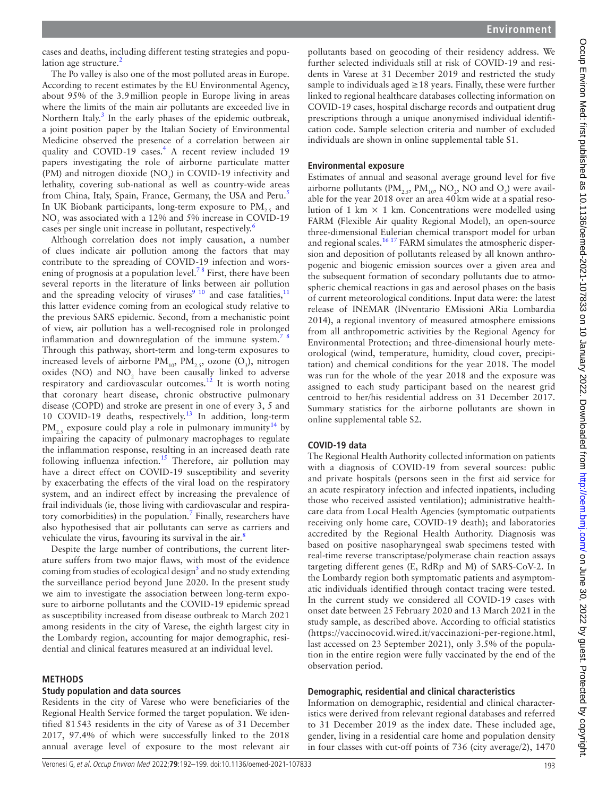cases and deaths, including different testing strategies and population age structure. $2$ 

The Po valley is also one of the most polluted areas in Europe. According to recent estimates by the EU Environmental Agency, about 95% of the 3.9million people in Europe living in areas where the limits of the main air pollutants are exceeded live in Northern Italy.<sup>[3](#page-6-2)</sup> In the early phases of the epidemic outbreak, a joint position paper by the Italian Society of Environmental Medicine observed the presence of a correlation between air quality and COVID-19 cases.<sup>4</sup> A recent review included 19 papers investigating the role of airborne particulate matter (PM) and nitrogen dioxide ( $NO<sub>2</sub>$ ) in COVID-19 infectivity and lethality, covering sub-national as well as country-wide areas from China, Italy, Spain, France, Germany, the USA and Peru.<sup>[5](#page-6-4)</sup> In UK Biobank participants, long-term exposure to  $PM_{25}$  and  $NO<sub>2</sub>$  was associated with a 12% and 5% increase in COVID-19 cases per single unit increase in pollutant, respectively.<sup>[6](#page-6-5)</sup>

Although correlation does not imply causation, a number of clues indicate air pollution among the factors that may contribute to the spreading of COVID-19 infection and worsening of prognosis at a population level.<sup>78</sup> First, there have been several reports in the literature of links between air pollution and the spreading velocity of viruses<sup>9 10</sup> and case fatalities,<sup>[11](#page-6-8)</sup> this latter evidence coming from an ecological study relative to the previous SARS epidemic. Second, from a mechanistic point of view, air pollution has a well-recognised role in prolonged inflammation and downregulation of the immune system.<sup>7</sup> Through this pathway, short-term and long-term exposures to increased levels of airborne  $PM_{10}$ ,  $PM_{2.5}$ , ozone (O<sub>3</sub>), nitrogen oxides (NO) and  $NO<sub>2</sub>$  have been causally linked to adverse respiratory and cardiovascular outcomes.<sup>12</sup> It is worth noting that coronary heart disease, chronic obstructive pulmonary disease (COPD) and stroke are present in one of every 3, 5 and 10 COVID-19 deaths, respectively.<sup>13</sup> In addition, long-term PM<sub>2</sub>, exposure could play a role in pulmonary immunity<sup>14</sup> by impairing the capacity of pulmonary macrophages to regulate the inflammation response, resulting in an increased death rate following influenza infection.<sup>15</sup> Therefore, air pollution may have a direct effect on COVID-19 susceptibility and severity by exacerbating the effects of the viral load on the respiratory system, and an indirect effect by increasing the prevalence of frail individuals (ie, those living with cardiovascular and respira-tory comorbidities) in the population.<sup>[7](#page-6-6)</sup> Finally, researchers have also hypothesised that air pollutants can serve as carriers and vehiculate the virus, favouring its survival in the air. $\frac{8}{3}$  $\frac{8}{3}$  $\frac{8}{3}$ 

Despite the large number of contributions, the current literature suffers from two major flaws, with most of the evidence coming from studies of ecological design<sup>[5](#page-6-4)</sup> and no study extending the surveillance period beyond June 2020. In the present study we aim to investigate the association between long-term exposure to airborne pollutants and the COVID-19 epidemic spread as susceptibility increased from disease outbreak to March 2021 among residents in the city of Varese, the eighth largest city in the Lombardy region, accounting for major demographic, residential and clinical features measured at an individual level.

#### **METHODS**

#### **Study population and data sources**

Residents in the city of Varese who were beneficiaries of the Regional Health Service formed the target population. We identified 81543 residents in the city of Varese as of 31 December 2017, 97.4% of which were successfully linked to the 2018 annual average level of exposure to the most relevant air

pollutants based on geocoding of their residency address. We further selected individuals still at risk of COVID-19 and residents in Varese at 31 December 2019 and restricted the study sample to individuals aged  $\geq$  18 years. Finally, these were further linked to regional healthcare databases collecting information on COVID-19 cases, hospital discharge records and outpatient drug prescriptions through a unique anonymised individual identification code. Sample selection criteria and number of excluded individuals are shown in [online supplemental table S1](https://dx.doi.org/10.1136/oemed-2021-107833).

#### **Environmental exposure**

Estimates of annual and seasonal average ground level for five airborne pollutants (P $M_{2.5}$ , P $M_{10}$ , NO<sub>2</sub>, NO and O<sub>3</sub>) were available for the year 2018 over an area 40km wide at a spatial resolution of 1 km  $\times$  1 km. Concentrations were modelled using FARM (Flexible Air quality Regional Model), an open-source three-dimensional Eulerian chemical transport model for urban and regional scales.<sup>16 17</sup> FARM simulates the atmospheric dispersion and deposition of pollutants released by all known anthropogenic and biogenic emission sources over a given area and the subsequent formation of secondary pollutants due to atmospheric chemical reactions in gas and aerosol phases on the basis of current meteorological conditions. Input data were: the latest release of INEMAR (INventario EMissioni ARia Lombardia 2014), a regional inventory of measured atmosphere emissions from all anthropometric activities by the Regional Agency for Environmental Protection; and three-dimensional hourly meteorological (wind, temperature, humidity, cloud cover, precipitation) and chemical conditions for the year 2018. The model was run for the whole of the year 2018 and the exposure was assigned to each study participant based on the nearest grid centroid to her/his residential address on 31 December 2017. Summary statistics for the airborne pollutants are shown in [online supplemental table S2.](https://dx.doi.org/10.1136/oemed-2021-107833)

#### **COVID-19 data**

The Regional Health Authority collected information on patients with a diagnosis of COVID-19 from several sources: public and private hospitals (persons seen in the first aid service for an acute respiratory infection and infected inpatients, including those who received assisted ventilation); administrative healthcare data from Local Health Agencies (symptomatic outpatients receiving only home care, COVID-19 death); and laboratories accredited by the Regional Health Authority. Diagnosis was based on positive nasopharyngeal swab specimens tested with real-time reverse transcriptase/polymerase chain reaction assays targeting different genes (E, RdRp and M) of SARS-CoV-2. In the Lombardy region both symptomatic patients and asymptomatic individuals identified through contact tracing were tested. In the current study we considered all COVID-19 cases with onset date between 25 February 2020 and 13 March 2021 in the study sample, as described above. According to official statistics ([https://vaccinocovid.wired.it/vaccinazioni-per-regione.html,](https://vaccinocovid.wired.it/vaccinazioni-per-regione.html) last accessed on 23 September 2021), only 3.5% of the population in the entire region were fully vaccinated by the end of the observation period.

#### **Demographic, residential and clinical characteristics**

Information on demographic, residential and clinical characteristics were derived from relevant regional databases and referred to 31 December 2019 as the index date. These included age, gender, living in a residential care home and population density in four classes with cut-off points of 736 (city average/2), 1470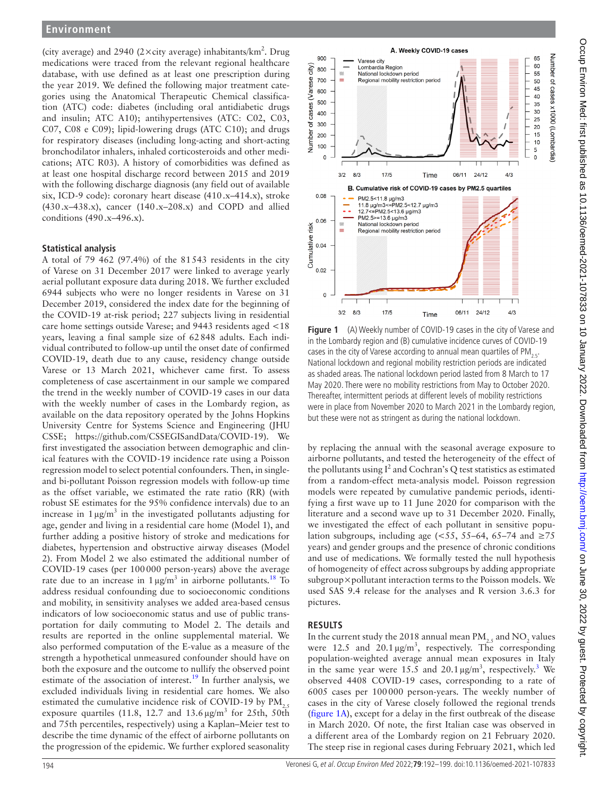## **Environment**

(city average) and 2940 (2 $\times$ city average) inhabitants/km<sup>2</sup>. Drug medications were traced from the relevant regional healthcare database, with use defined as at least one prescription during the year 2019. We defined the following major treatment categories using the Anatomical Therapeutic Chemical classification (ATC) code: diabetes (including oral antidiabetic drugs and insulin; ATC A10); antihypertensives (ATC: C02, C03, C07, C08 e C09); lipid-lowering drugs (ATC C10); and drugs for respiratory diseases (including long-acting and short-acting bronchodilator inhalers, inhaled corticosteroids and other medications; ATC R03). A history of comorbidities was defined as at least one hospital discharge record between 2015 and 2019 with the following discharge diagnosis (any field out of available six, ICD-9 code): coronary heart disease (410.x–414.x), stroke (430.x–438.x), cancer  $(140.x-208.x)$  and COPD and allied conditions (490.x–496.x).

#### **Statistical analysis**

A total of 79 462 (97.4%) of the 81543 residents in the city of Varese on 31 December 2017 were linked to average yearly aerial pollutant exposure data during 2018. We further excluded 6944 subjects who were no longer residents in Varese on 31 December 2019, considered the index date for the beginning of the COVID-19 at-risk period; 227 subjects living in residential care home settings outside Varese; and 9443 residents aged <18 years, leaving a final sample size of 62848 adults. Each individual contributed to follow-up until the onset date of confirmed COVID-19, death due to any cause, residency change outside Varese or 13 March 2021, whichever came first. To assess completeness of case ascertainment in our sample we compared the trend in the weekly number of COVID-19 cases in our data with the weekly number of cases in the Lombardy region, as available on the data repository operated by the Johns Hopkins University Centre for Systems Science and Engineering (JHU CSSE; <https://github.com/CSSEGISandData/COVID-19>). We first investigated the association between demographic and clinical features with the COVID-19 incidence rate using a Poisson regression model to select potential confounders. Then, in singleand bi-pollutant Poisson regression models with follow-up time as the offset variable, we estimated the rate ratio (RR) (with robust SE estimates for the 95% confidence intervals) due to an increase in  $1 \mu g/m^3$  in the investigated pollutants adjusting for age, gender and living in a residential care home (Model 1), and further adding a positive history of stroke and medications for diabetes, hypertension and obstructive airway diseases (Model 2). From Model 2 we also estimated the additional number of COVID-19 cases (per 100000 person-years) above the average rate due to an increase in  $1 \mu g/m^3$  in airborne pollutants.<sup>[18](#page-6-15)</sup> To address residual confounding due to socioeconomic conditions and mobility, in sensitivity analyses we added area-based census indicators of low socioeconomic status and use of public transportation for daily commuting to Model 2. The details and results are reported in the [online supplemental material.](https://dx.doi.org/10.1136/oemed-2021-107833) We also performed computation of the E-value as a measure of the strength a hypothetical unmeasured confounder should have on both the exposure and the outcome to nullify the observed point estimate of the association of interest.<sup>19</sup> In further analysis, we excluded individuals living in residential care homes. We also estimated the cumulative incidence risk of COVID-19 by  $PM_{2.5}$ exposure quartiles (11.8, 12.7 and  $13.6 \,\mathrm{\upmu g/m^3}$  for 25th, 50th and 75th percentiles, respectively) using a Kaplan–Meier test to describe the time dynamic of the effect of airborne pollutants on the progression of the epidemic. We further explored seasonality



<span id="page-2-0"></span>**Figure 1** (A) Weekly number of COVID-19 cases in the city of Varese and in the Lombardy region and (B) cumulative incidence curves of COVID-19 cases in the city of Varese according to annual mean quartiles of  $PM_{2.5}$ . National lockdown and regional mobility restriction periods are indicated as shaded areas. The national lockdown period lasted from 8 March to 17 May 2020. There were no mobility restrictions from May to October 2020. Thereafter, intermittent periods at different levels of mobility restrictions were in place from November 2020 to March 2021 in the Lombardy region, but these were not as stringent as during the national lockdown.

by replacing the annual with the seasonal average exposure to airborne pollutants, and tested the heterogeneity of the effect of the pollutants using  $I^2$  and Cochran's Q test statistics as estimated from a random-effect meta-analysis model. Poisson regression models were repeated by cumulative pandemic periods, identifying a first wave up to 11 June 2020 for comparison with the literature and a second wave up to 31 December 2020. Finally, we investigated the effect of each pollutant in sensitive population subgroups, including age (<55, 55–64, 65–74 and  $\geq$ 75 years) and gender groups and the presence of chronic conditions and use of medications. We formally tested the null hypothesis of homogeneity of effect across subgroups by adding appropriate subgroup×pollutant interaction terms to the Poisson models. We used SAS 9.4 release for the analyses and R version 3.6.3 for pictures.

#### **RESULTS**

In the current study the 2018 annual mean  $\text{PM}_{2.5}$  and  $\text{NO}_2$  values were 12.5 and 20.1  $\mu$ g/m<sup>3</sup>, respectively. The corresponding population-weighted average annual mean exposures in Italy in the same year were 15.5 and 20.1  $\mu$ g/m<sup>[3](#page-6-2)</sup>, respectively.<sup>3</sup> We observed 4408 COVID-19 cases, corresponding to a rate of 6005 cases per 100000 person-years. The weekly number of cases in the city of Varese closely followed the regional trends ([figure](#page-2-0) 1A), except for a delay in the first outbreak of the disease in March 2020. Of note, the first Italian case was observed in a different area of the Lombardy region on 21 February 2020. The steep rise in regional cases during February 2021, which led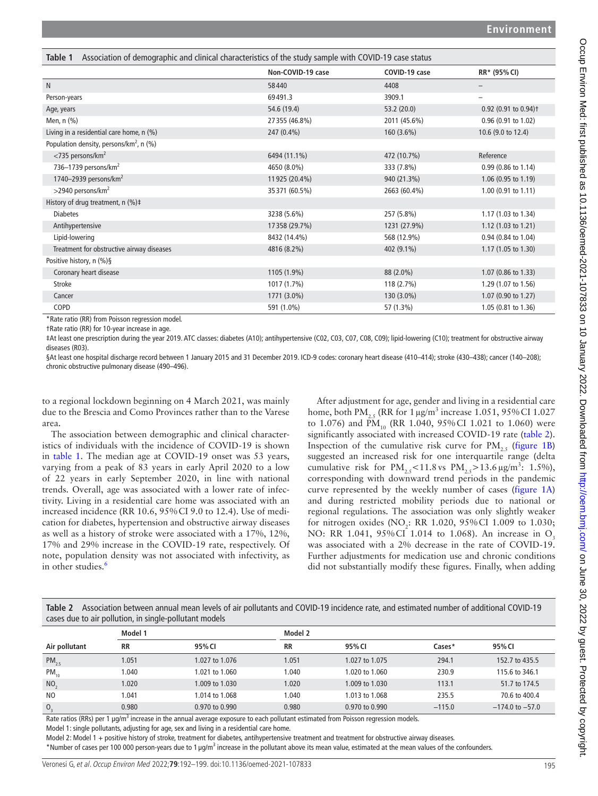<span id="page-3-0"></span>

| Association of demographic and clinical characteristics of the study sample with COVID-19 case status<br>Table 1 |                   |               |                                  |  |  |  |
|------------------------------------------------------------------------------------------------------------------|-------------------|---------------|----------------------------------|--|--|--|
|                                                                                                                  | Non-COVID-19 case | COVID-19 case | RR* (95% CI)                     |  |  |  |
| $\mathsf{N}$                                                                                                     | 58440             | 4408          | -                                |  |  |  |
| Person-years                                                                                                     | 69491.3           | 3909.1        | $\overline{\phantom{0}}$         |  |  |  |
| Age, years                                                                                                       | 54.6 (19.4)       | 53.2(20.0)    | 0.92 (0.91 to 0.94) <sup>+</sup> |  |  |  |
| Men, n (%)                                                                                                       | 27355 (46.8%)     | 2011 (45.6%)  | 0.96 (0.91 to 1.02)              |  |  |  |
| Living in a residential care home, n (%)                                                                         | 247 (0.4%)        | 160 (3.6%)    | 10.6 (9.0 to 12.4)               |  |  |  |
| Population density, persons/km <sup>2</sup> , n $(\%)$                                                           |                   |               |                                  |  |  |  |
| $<$ 735 persons/km <sup>2</sup>                                                                                  | 6494 (11.1%)      | 472 (10.7%)   | Reference                        |  |  |  |
| 736-1739 persons/km <sup>2</sup>                                                                                 | 4650 (8.0%)       | 333 (7.8%)    | 0.99 (0.86 to 1.14)              |  |  |  |
| 1740–2939 persons/ $km^2$                                                                                        | 11925 (20.4%)     | 940 (21.3%)   | 1.06 $(0.95$ to 1.19)            |  |  |  |
| $>$ 2940 persons/km <sup>2</sup>                                                                                 | 35371 (60.5%)     | 2663 (60.4%)  | 1.00 (0.91 to 1.11)              |  |  |  |
| History of drug treatment, $n$ (%) $\ddagger$                                                                    |                   |               |                                  |  |  |  |
| <b>Diabetes</b>                                                                                                  | 3238 (5.6%)       | 257 (5.8%)    | 1.17 (1.03 to 1.34)              |  |  |  |
| Antihypertensive                                                                                                 | 17358 (29.7%)     | 1231 (27.9%)  | 1.12 (1.03 to 1.21)              |  |  |  |
| Lipid-lowering                                                                                                   | 8432 (14.4%)      | 568 (12.9%)   | 0.94 (0.84 to 1.04)              |  |  |  |
| Treatment for obstructive airway diseases                                                                        | 4816 (8.2%)       | 402 (9.1%)    | 1.17 (1.05 to 1.30)              |  |  |  |
| Positive history, n (%)§                                                                                         |                   |               |                                  |  |  |  |
| Coronary heart disease                                                                                           | 1105 (1.9%)       | 88 (2.0%)     | 1.07 (0.86 to 1.33)              |  |  |  |
| <b>Stroke</b>                                                                                                    | 1017 (1.7%)       | 118 (2.7%)    | 1.29 (1.07 to 1.56)              |  |  |  |
| Cancer                                                                                                           | 1771 (3.0%)       | 130 (3.0%)    | 1.07 (0.90 to 1.27)              |  |  |  |
| <b>COPD</b>                                                                                                      | 591 (1.0%)        | 57 (1.3%)     | 1.05 (0.81 to 1.36)              |  |  |  |

\*Rate ratio (RR) from Poisson regression model.

†Rate ratio (RR) for 10-year increase in age.

‡At least one prescription during the year 2019. ATC classes: diabetes (A10); antihypertensive (C02, C03, C07, C08, C09); lipid-lowering (C10); treatment for obstructive airway diseases (R03).

§At least one hospital discharge record between 1 January 2015 and 31 December 2019. ICD-9 codes: coronary heart disease (410–414); stroke (430–438); cancer (140–208); chronic obstructive pulmonary disease (490–496).

to a regional lockdown beginning on 4 March 2021, was mainly due to the Brescia and Como Provinces rather than to the Varese area.

The association between demographic and clinical characteristics of individuals with the incidence of COVID-19 is shown in [table](#page-3-0) 1. The median age at COVID-19 onset was 53 years, varying from a peak of 83 years in early April 2020 to a low of 22 years in early September 2020, in line with national trends. Overall, age was associated with a lower rate of infectivity. Living in a residential care home was associated with an increased incidence (RR 10.6, 95%CI 9.0 to 12.4). Use of medication for diabetes, hypertension and obstructive airway diseases as well as a history of stroke were associated with a 17%, 12%, 17% and 29% increase in the COVID-19 rate, respectively. Of note, population density was not associated with infectivity, as in other studies.<sup>[6](#page-6-5)</sup>

After adjustment for age, gender and living in a residential care home, both  $\text{PM}_{2.5}$  (RR for  $1 \mu\text{g/m}^3$  increase  $1.051, 95\%$  CI  $1.027$ to 1.076) and  $\widetilde{PM}_{10}$  (RR 1.040, 95% CI 1.021 to 1.060) were significantly associated with increased COVID-19 rate ([table](#page-3-1) 2). Inspection of the cumulative risk curve for  $PM_{2.5}$  [\(figure](#page-2-0) 1B) suggested an increased risk for one interquartile range (delta cumulative risk for  $PM_{2.5} < 11.8$  vs  $PM_{2.5} > 13.6 \,\mu\text{g/m}^3$ : 1.5%), corresponding with downward trend periods in the pandemic curve represented by the weekly number of cases ([figure](#page-2-0) 1A) and during restricted mobility periods due to national or regional regulations. The association was only slightly weaker for nitrogen oxides  $(NO_2$ : RR 1.020, 95% CI 1.009 to 1.030; NO: RR 1.041, 95% CI 1.014 to 1.068). An increase in O. was associated with a 2% decrease in the rate of COVID-19. Further adjustments for medication use and chronic conditions did not substantially modify these figures. Finally, when adding

<span id="page-3-1"></span>

| Table 2 Association between annual mean levels of air pollutants and COVID-19 incidence rate, and estimated number of additional COVID-19 |
|-------------------------------------------------------------------------------------------------------------------------------------------|
| cases due to air pollution, in single-pollutant models                                                                                    |

|                 | Model 1         |                | Model 2   |                |          |                     |
|-----------------|-----------------|----------------|-----------|----------------|----------|---------------------|
| Air pollutant   | <b>RR</b>       | 95% CI         | <b>RR</b> | 95% CI         | Cases*   | 95% CI              |
| $PM_{2.5}$      | 1.051           | 1.027 to 1.076 | 1.051     | 1.027 to 1.075 | 294.1    | 152.7 to 435.5      |
| $PM_{10}$       | 1.040           | 1.021 to 1.060 | 1.040     | 1.020 to 1.060 | 230.9    | 115.6 to 346.1      |
| NO <sub>2</sub> | 1.020           | 1.009 to 1.030 | 1.020     | 1.009 to 1.030 | 113.1    | 51.7 to 174.5       |
| N <sub>O</sub>  | 1.041           | 1.014 to 1.068 | 1.040     | 1.013 to 1.068 | 235.5    | 70.6 to 400.4       |
| O <sub>3</sub>  | 0.980<br>$\sim$ | 0.970 to 0.990 | 0.980     | 0.970 to 0.990 | $-115.0$ | $-174.0$ to $-57.0$ |

Rate ratios (RRs) per 1 µg/m<sup>3</sup> increase in the annual average exposure to each pollutant estimated from Poisson regression models.

Model 1: single pollutants, adjusting for age, sex and living in a residential care home.

Model 2: Model 1 + positive history of stroke, treatment for diabetes, antihypertensive treatment and treatment for obstructive airway diseases.

\*Number of cases per 100 000 person-years due to 1 µg/m<sup>3</sup> increase in the pollutant above its mean value, estimated at the mean values of the confounders.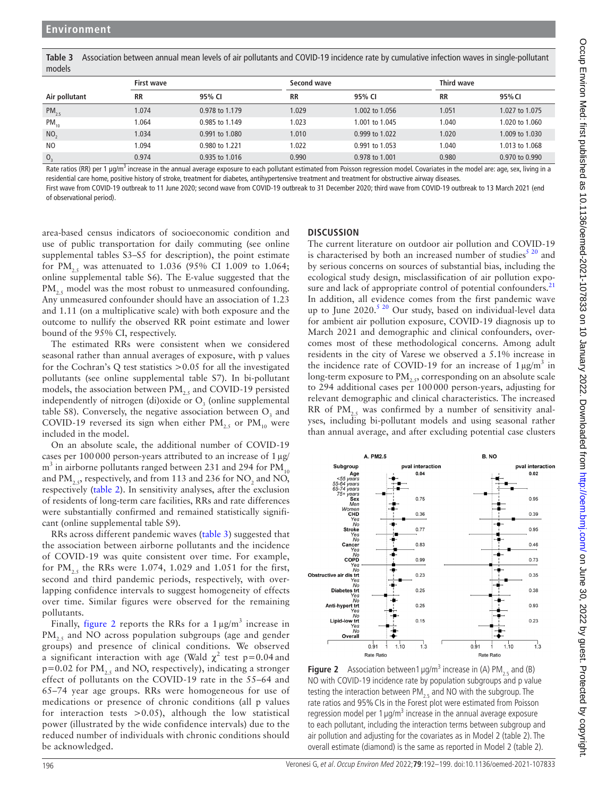<span id="page-4-0"></span>**Table 3** Association between annual mean levels of air pollutants and COVID-19 incidence rate by cumulative infection waves in single-pollutant models

|                 | First wave |                                                                                                                                                                                                                                                       |           | Second wave    |           | Third wave     |  |
|-----------------|------------|-------------------------------------------------------------------------------------------------------------------------------------------------------------------------------------------------------------------------------------------------------|-----------|----------------|-----------|----------------|--|
| Air pollutant   | <b>RR</b>  | 95% CI                                                                                                                                                                                                                                                | <b>RR</b> | 95% CI         | <b>RR</b> | 95% CI         |  |
| $PM_{2.5}$      | 1.074      | 0.978 to 1.179                                                                                                                                                                                                                                        | 1.029     | 1.002 to 1.056 | 1.051     | 1.027 to 1.075 |  |
| $PM_{10}$       | 1.064      | 0.985 to 1.149                                                                                                                                                                                                                                        | 1.023     | 1.001 to 1.045 | 1.040     | 1.020 to 1.060 |  |
| NO <sub>2</sub> | 1.034      | 0.991 to 1.080                                                                                                                                                                                                                                        | 1.010     | 0.999 to 1.022 | 1.020     | 1.009 to 1.030 |  |
| N <sub>O</sub>  | 1.094      | 0.980 to 1.221                                                                                                                                                                                                                                        | 1.022     | 0.991 to 1.053 | 1.040     | 1.013 to 1.068 |  |
| $\mathsf{O},$   | 0.974      | 0.935 to 1.016<br><b>Descriptions</b> of the construction of the construction of the construction of the District of the construction of the construction of the construction of the construction of the construction of the construction of the cons | 0.990     | 0.978 to 1.001 | 0.980     | 0.970 to 0.990 |  |

Rate ratios (RR) per 1 µg/m<sup>3</sup> increase in the annual average exposure to each pollutant estimated from Poisson regression model. Covariates in the model are: age, sex, living in a residential care home, positive history of stroke, treatment for diabetes, antihypertensive treatment and treatment for obstructive airway diseases. First wave from COVID-19 outbreak to 11 June 2020; second wave from COVID-19 outbreak to 31 December 2020; third wave from COVID-19 outbreak to 13 March 2021 (end

of observational period).

area-based census indicators of socioeconomic condition and use of public transportation for daily commuting (see [online](https://dx.doi.org/10.1136/oemed-2021-107833)  [supplemental tables S3–S5](https://dx.doi.org/10.1136/oemed-2021-107833) for description), the point estimate for PM<sub>2.5</sub> was attenuated to 1.036 (95% CI 1.009 to 1.064; [online supplemental table S6\)](https://dx.doi.org/10.1136/oemed-2021-107833). The E-value suggested that the PM<sub>2.5</sub> model was the most robust to unmeasured confounding. Any unmeasured confounder should have an association of 1.23 and 1.11 (on a multiplicative scale) with both exposure and the outcome to nullify the observed RR point estimate and lower bound of the 95% CI, respectively.

The estimated RRs were consistent when we considered seasonal rather than annual averages of exposure, with p values for the Cochran's Q test statistics >0.05 for all the investigated pollutants (see [online supplemental table S7\)](https://dx.doi.org/10.1136/oemed-2021-107833). In bi-pollutant models, the association between  $PM_{2,5}$  and COVID-19 persisted independently of nitrogen (di)oxide or  $O<sub>3</sub>$  (online supplemental [table S8](https://dx.doi.org/10.1136/oemed-2021-107833)). Conversely, the negative association between  $O_3$  and COVID-19 reversed its sign when either  $PM_{2.5}$  or  $PM_{10}$  were included in the model.

On an absolute scale, the additional number of COVID-19 cases per 100000 person-years attributed to an increase of 1µg/  $\text{m}^3$  in airborne pollutants ranged between 231 and 294 for PM<sub>10</sub> and  $\text{PM}_{2.5}$ , respectively, and from 113 and 236 for  $\text{NO}_2$  and  $\text{NO}_2$ , respectively [\(table](#page-3-1) 2). In sensitivity analyses, after the exclusion of residents of long-term care facilities, RRs and rate differences were substantially confirmed and remained statistically significant ([online supplemental table S9\)](https://dx.doi.org/10.1136/oemed-2021-107833).

RRs across different pandemic waves [\(table](#page-4-0) 3) suggested that the association between airborne pollutants and the incidence of COVID-19 was quite consistent over time. For example, for  $PM_{2.5}$  the RRs were 1.074, 1.029 and 1.051 for the first, second and third pandemic periods, respectively, with overlapping confidence intervals to suggest homogeneity of effects over time. Similar figures were observed for the remaining pollutants.

Finally, [figure](#page-4-1) 2 reports the RRs for a  $1 \mu g/m^3$  increase in  $PM<sub>2.5</sub>$  and NO across population subgroups (age and gender groups) and presence of clinical conditions. We observed a significant interaction with age (Wald  $\chi^2$  test p=0.04 and  $p=0.02$  for PM<sub>2.5</sub> and NO, respectively), indicating a stronger effect of pollutants on the COVID-19 rate in the 55–64 and 65–74 year age groups. RRs were homogeneous for use of medications or presence of chronic conditions (all p values for interaction tests  $> 0.05$ ), although the low statistical power (illustrated by the wide confidence intervals) due to the reduced number of individuals with chronic conditions should be acknowledged.

## **DISCUSSION**

The current literature on outdoor air pollution and COVID-19 is characterised by both an increased number of studies $5^{20}$  and by serious concerns on sources of substantial bias, including the ecological study design, misclassification of air pollution expo-sure and lack of appropriate control of potential confounders.<sup>[21](#page-6-17)</sup> In addition, all evidence comes from the first pandemic wave up to June 2020.<sup>[5 20](#page-6-4)</sup> Our study, based on individual-level data for ambient air pollution exposure, COVID-19 diagnosis up to March 2021 and demographic and clinical confounders, overcomes most of these methodological concerns. Among adult residents in the city of Varese we observed a 5.1% increase in the incidence rate of COVID-19 for an increase of  $1 \mu g/m^3$  in long-term exposure to  $\text{PM}_{2,5}$ , corresponding on an absolute scale to 294 additional cases per 100000 person-years, adjusting for relevant demographic and clinical characteristics. The increased RR of PM<sub>2.5</sub> was confirmed by a number of sensitivity analyses, including bi-pollutant models and using seasonal rather than annual average, and after excluding potential case clusters



<span id="page-4-1"></span>**Figure 2** Association between 1  $\mu$ g/m<sup>3</sup> increase in (A) PM<sub>2.5</sub> and (B) NO with COVID-19 incidence rate by population subgroups and p value testing the interaction between  $PM_{2.5}$  and NO with the subgroup. The rate ratios and 95%CIs in the Forest plot were estimated from Poisson regression model per  $1 \mu g/m^3$  increase in the annual average exposure to each pollutant, including the interaction terms between subgroup and air pollution and adjusting for the covariates as in Model 2 ([table 2](#page-3-1)). The overall estimate (diamond) is the same as reported in Model 2 [\(table 2\)](#page-3-1).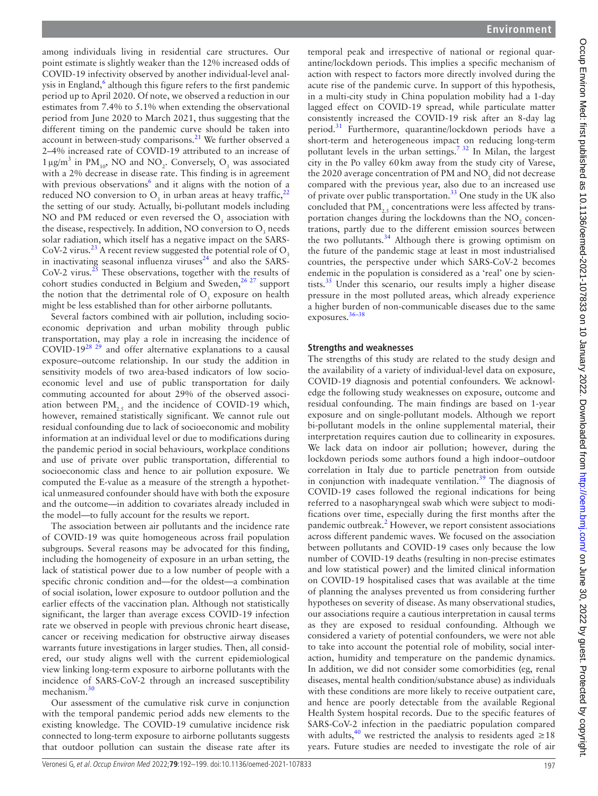among individuals living in residential care structures. Our point estimate is slightly weaker than the 12% increased odds of COVID-19 infectivity observed by another individual-level anal-ysis in England,<sup>[6](#page-6-5)</sup> although this figure refers to the first pandemic period up to April 2020. Of note, we observed a reduction in our estimates from 7.4% to 5.1% when extending the observational period from June 2020 to March 2021, thus suggesting that the different timing on the pandemic curve should be taken into account in between-study comparisons. $^{21}$  $^{21}$  $^{21}$  We further observed a 2–4% increased rate of COVID-19 attributed to an increase of  $1 \mu g/m^3$  in PM<sub>10</sub>, NO and NO<sub>2</sub>. Conversely, O<sub>3</sub> was associated with a 2% decrease in disease rate. This finding is in agreement with previous observations<sup>[6](#page-6-5)</sup> and it aligns with the notion of a reduced NO conversion to  $O_3$  in urban areas at heavy traffic,<sup>[22](#page-6-18)</sup> the setting of our study. Actually, bi-pollutant models including NO and PM reduced or even reversed the  $O_3$  association with the disease, respectively. In addition, NO conversion to  $O_3$  needs solar radiation, which itself has a negative impact on the SARS-CoV-2 virus.<sup>[23](#page-6-19)</sup> A recent review suggested the potential role of  $O_3$ in inactivating seasonal influenza viruses $24$  and also the SARS- $CoV-2$  virus.<sup>[25](#page-6-21)</sup> These observations, together with the results of cohort studies conducted in Belgium and Sweden,  $26 27$  support the notion that the detrimental role of  $O_3$  exposure on health might be less established than for other airborne pollutants.

Several factors combined with air pollution, including socioeconomic deprivation and urban mobility through public transportation, may play a role in increasing the incidence of COVID-19[28 29](#page-6-23) and offer alternative explanations to a causal exposure–outcome relationship. In our study the addition in sensitivity models of two area-based indicators of low socioeconomic level and use of public transportation for daily commuting accounted for about 29% of the observed association between  $PM_{2,5}$  and the incidence of COVID-19 which, however, remained statistically significant. We cannot rule out residual confounding due to lack of socioeconomic and mobility information at an individual level or due to modifications during the pandemic period in social behaviours, workplace conditions and use of private over public transportation, differential to socioeconomic class and hence to air pollution exposure. We computed the E-value as a measure of the strength a hypothetical unmeasured confounder should have with both the exposure and the outcome—in addition to covariates already included in the model—to fully account for the results we report.

The association between air pollutants and the incidence rate of COVID-19 was quite homogeneous across frail population subgroups. Several reasons may be advocated for this finding, including the homogeneity of exposure in an urban setting, the lack of statistical power due to a low number of people with a specific chronic condition and—for the oldest—a combination of social isolation, lower exposure to outdoor pollution and the earlier effects of the vaccination plan. Although not statistically significant, the larger than average excess COVID-19 infection rate we observed in people with previous chronic heart disease, cancer or receiving medication for obstructive airway diseases warrants future investigations in larger studies. Then, all considered, our study aligns well with the current epidemiological view linking long-term exposure to airborne pollutants with the incidence of SARS-CoV-2 through an increased susceptibility mechanism.[30](#page-6-24)

Our assessment of the cumulative risk curve in conjunction with the temporal pandemic period adds new elements to the existing knowledge. The COVID-19 cumulative incidence risk connected to long-term exposure to airborne pollutants suggests that outdoor pollution can sustain the disease rate after its

temporal peak and irrespective of national or regional quarantine/lockdown periods. This implies a specific mechanism of action with respect to factors more directly involved during the acute rise of the pandemic curve. In support of this hypothesis, in a multi-city study in China population mobility had a 1-day lagged effect on COVID-19 spread, while particulate matter consistently increased the COVID-19 risk after an 8-day lag period[.31](#page-6-25) Furthermore, quarantine/lockdown periods have a short-term and heterogeneous impact on reducing long-term pollutant levels in the urban settings.<sup>732</sup> In Milan, the largest city in the Po valley 60km away from the study city of Varese, the 2020 average concentration of PM and  $\rm NO_2$  did not decrease compared with the previous year, also due to an increased use of private over public transportation.[33](#page-7-0) One study in the UK also concluded that  $PM_{2.5}$  concentrations were less affected by transportation changes during the lockdowns than the  $\mathrm{NO}_2$  concentrations, partly due to the different emission sources between the two pollutants.<sup>[34](#page-7-1)</sup> Although there is growing optimism on the future of the pandemic stage at least in most industrialised countries, the perspective under which SARS-CoV-2 becomes endemic in the population is considered as a 'real' one by scientists. $35$  Under this scenario, our results imply a higher disease pressure in the most polluted areas, which already experience a higher burden of non-communicable diseases due to the same exposures.[36–38](#page-7-3)

#### **Strengths and weaknesses**

The strengths of this study are related to the study design and the availability of a variety of individual-level data on exposure, COVID-19 diagnosis and potential confounders. We acknowledge the following study weaknesses on exposure, outcome and residual confounding. The main findings are based on 1-year exposure and on single-pollutant models. Although we report bi-pollutant models in the [online supplemental material,](https://dx.doi.org/10.1136/oemed-2021-107833) their interpretation requires caution due to collinearity in exposures. We lack data on indoor air pollution; however, during the lockdown periods some authors found a high indoor–outdoor correlation in Italy due to particle penetration from outside in conjunction with inadequate ventilation. $39$  The diagnosis of COVID-19 cases followed the regional indications for being referred to a nasopharyngeal swab which were subject to modifications over time, especially during the first months after the pandemic outbreak.<sup>[2](#page-6-1)</sup> However, we report consistent associations across different pandemic waves. We focused on the association between pollutants and COVID-19 cases only because the low number of COVID-19 deaths (resulting in non-precise estimates and low statistical power) and the limited clinical information on COVID-19 hospitalised cases that was available at the time of planning the analyses prevented us from considering further hypotheses on severity of disease. As many observational studies, our associations require a cautious interpretation in causal terms as they are exposed to residual confounding. Although we considered a variety of potential confounders, we were not able to take into account the potential role of mobility, social interaction, humidity and temperature on the pandemic dynamics. In addition, we did not consider some comorbidities (eg, renal diseases, mental health condition/substance abuse) as individuals with these conditions are more likely to receive outpatient care, and hence are poorly detectable from the available Regional Health System hospital records. Due to the specific features of SARS-CoV-2 infection in the paediatric population compared with adults,<sup>[40](#page-7-5)</sup> we restricted the analysis to residents aged  $\geq 18$ years. Future studies are needed to investigate the role of air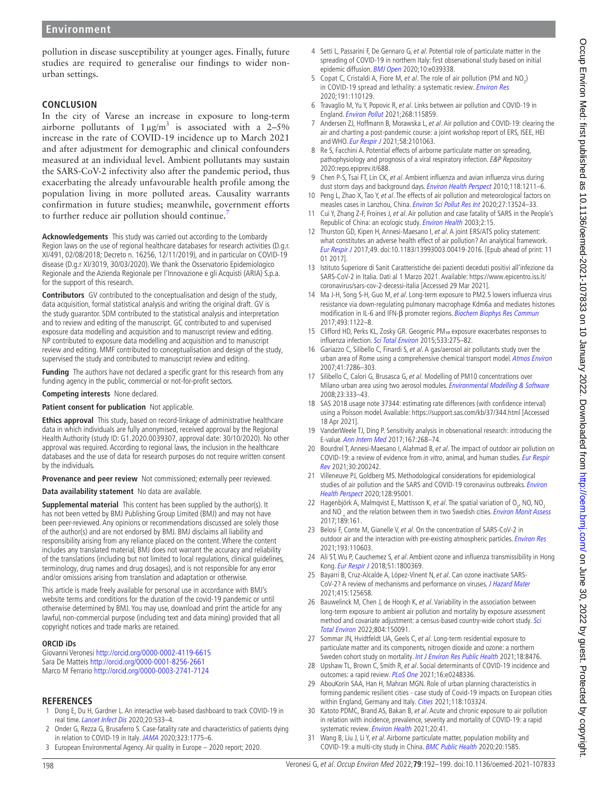pollution in disease susceptibility at younger ages. Finally, future studies are required to generalise our findings to wider nonurban settings.

## **CONCLUSION**

In the city of Varese an increase in exposure to long-term airborne pollutants of  $1 \mu g/m^3$  is associated with a 2-5% increase in the rate of COVID-19 incidence up to March 2021 and after adjustment for demographic and clinical confounders measured at an individual level. Ambient pollutants may sustain the SARS-CoV-2 infectivity also after the pandemic period, thus exacerbating the already unfavourable health profile among the population living in more polluted areas. Causality warrants confirmation in future studies; meanwhile, government efforts to further reduce air pollution should continue.<sup>7</sup>

**Acknowledgements** This study was carried out according to the Lombardy Region laws on the use of regional healthcare databases for research activities (D.g.r. XI/491, 02/08/2018; Decreto n. 16256, 12/11/2019), and in particular on COVID-19 disease (D.g.r XI/3019, 30/03/2020). We thank the Osservatorio Epidemiologico Regionale and the Azienda Regionale per l'Innovazione e gli Acquisti (ARIA) S.p.a. for the support of this research.

**Contributors** GV contributed to the conceptualisation and design of the study, data acquisition, formal statistical analysis and writing the original draft. GV is the study guarantor. SDM contributed to the statistical analysis and interpretation and to review and editing of the manuscript. GC contributed to and supervised exposure data modelling and acquisition and to manuscript review and editing. NP contributed to exposure data modelling and acquisition and to manuscript review and editing. MMF contributed to conceptualisation and design of the study, supervised the study and contributed to manuscript review and editing.

**Funding** The authors have not declared a specific grant for this research from any funding agency in the public, commercial or not-for-profit sectors.

**Competing interests** None declared.

**Patient consent for publication** Not applicable.

**Ethics approval** This study, based on record-linkage of administrative healthcare data in which individuals are fully anonymised, received approval by the Regional Health Authority (study ID: G1.2020.0039307, approval date: 30/10/2020). No other approval was required. According to regional laws, the inclusion in the healthcare databases and the use of data for research purposes do not require written consent by the individuals.

**Provenance and peer review** Not commissioned; externally peer reviewed.

**Data availability statement** No data are available.

**Supplemental material** This content has been supplied by the author(s). It has not been vetted by BMJ Publishing Group Limited (BMJ) and may not have been peer-reviewed. Any opinions or recommendations discussed are solely those of the author(s) and are not endorsed by BMJ. BMJ disclaims all liability and responsibility arising from any reliance placed on the content. Where the content includes any translated material, BMJ does not warrant the accuracy and reliability of the translations (including but not limited to local regulations, clinical guidelines, terminology, drug names and drug dosages), and is not responsible for any error and/or omissions arising from translation and adaptation or otherwise.

This article is made freely available for personal use in accordance with BMJ's website terms and conditions for the duration of the covid-19 pandemic or until otherwise determined by BMJ. You may use, download and print the article for any lawful, non-commercial purpose (including text and data mining) provided that all copyright notices and trade marks are retained.

#### **ORCID iDs**

Giovanni Veronesi <http://orcid.org/0000-0002-4119-6615> Sara De Matteis <http://orcid.org/0000-0001-8256-2661> Marco M Ferrario <http://orcid.org/0000-0003-2741-7124>

#### **REFERENCES**

- <span id="page-6-0"></span>Dong E, Du H, Gardner L. An interactive web-based dashboard to track COVID-19 in real time. [Lancet Infect Dis](http://dx.doi.org/10.1016/S1473-3099(20)30120-1) 2020;20:533–4.
- <span id="page-6-1"></span>2 Onder G, Rezza G, Brusaferro S. Case-fatality rate and characteristics of patients dying in relation to COVID-19 in Italy. [JAMA](http://dx.doi.org/10.1001/jama.2020.4683) 2020;323:1775–6.
- <span id="page-6-2"></span>3 European Environmental Agency. Air quality in Europe – 2020 report; 2020.
- <span id="page-6-3"></span>4 Setti L, Passarini F, De Gennaro G, et al. Potential role of particulate matter in the spreading of COVID-19 in northern Italy: first observational study based on initial epidemic diffusion. **[BMJ Open](http://dx.doi.org/10.1136/bmjopen-2020-039338) 2020**;10:e039338.
- <span id="page-6-4"></span>5 Copat C, Cristaldi A, Fiore M, et al. The role of air pollution (PM and  $NO<sub>2</sub>$ ) in COVID-19 spread and lethality: a systematic review. [Environ Res](http://dx.doi.org/10.1016/j.envres.2020.110129) 2020;191:110129.
- <span id="page-6-5"></span>6 Travaglio M, Yu Y, Popovic R, et al. Links between air pollution and COVID-19 in England. [Environ Pollut](http://dx.doi.org/10.1016/j.envpol.2020.115859) 2021;268:115859.
- <span id="page-6-6"></span>7 Andersen ZJ, Hoffmann B, Morawska L, et al. Air pollution and COVID-19: clearing the air and charting a post-pandemic course: a joint workshop report of ERS, ISEE, HEI and WHO. [Eur Respir J](http://dx.doi.org/10.1183/13993003.01063-2021) 2021;58:2101063.
- <span id="page-6-13"></span>8 Re S, Facchini A. Potential effects of airborne particulate matter on spreading, pathophysiology and prognosis of a viral respiratory infection. E&P Repository 2020:repo.epiprev.it/688.
- <span id="page-6-7"></span>9 Chen P-S, Tsai FT, Lin CK, et al. Ambient influenza and avian influenza virus during dust storm days and background days. [Environ Health Perspect](http://dx.doi.org/10.1289/ehp.0901782) 2010;118:1211-6.
- 10 Peng L, Zhao X, Tao Y, et al. The effects of air pollution and meteorological factors on measles cases in Lanzhou, China. [Environ Sci Pollut Res Int](http://dx.doi.org/10.1007/s11356-020-07903-4) 2020;27:13524–33.
- <span id="page-6-8"></span>11 Cui Y, Zhang Z-F, Froines J, et al. Air pollution and case fatality of SARS in the People's Republic of China: an ecologic study. [Environ Health](http://dx.doi.org/10.1186/1476-069X-2-15) 2003;2:15.
- <span id="page-6-9"></span>12 Thurston GD, Kipen H, Annesi-Maesano I, et al. A joint ERS/ATS policy statement: what constitutes an adverse health effect of air pollution? An analytical framework. [Eur Respir J](http://dx.doi.org/10.1183/13993003.00419-2016) 2017;49. doi:10.1183/13993003.00419-2016. [Epub ahead of print: 11 01 2017].
- <span id="page-6-10"></span>13 Istituto Superiore di Sanit Caratteristiche dei pazienti deceduti positivi all'infezione da SARS-CoV-2 in Italia. Dati al 1 Marzo 2021. Available: [https://www.epicentro.iss.it/](https://www.epicentro.iss.it/coronavirus/sars-cov-2-decessi-italia) [coronavirus/sars-cov-2-decessi-italia](https://www.epicentro.iss.it/coronavirus/sars-cov-2-decessi-italia) [Accessed 29 Mar 2021].
- <span id="page-6-11"></span>14 Ma J-H, Song S-H, Guo M, et al. Long-term exposure to PM2.5 lowers influenza virus resistance via down-regulating pulmonary macrophage Kdm6a and mediates histones modification in IL-6 and IFN-β promoter regions. [Biochem Biophys Res Commun](http://dx.doi.org/10.1016/j.bbrc.2017.09.013) 2017;493:1122–8.
- <span id="page-6-12"></span>15 Clifford HD, Perks KL, Zosky GR. Geogenic PM10 exposure exacerbates responses to influenza infection. [Sci Total Environ](http://dx.doi.org/10.1016/j.scitotenv.2015.07.001) 2015;533:275–82.
- <span id="page-6-14"></span>16 Gariazzo C, Silibello C, Finardi S, et al. A gas/aerosol air pollutants study over the urban area of Rome using a comprehensive chemical transport model. [Atmos Environ](http://dx.doi.org/10.1016/j.atmosenv.2007.05.018) 2007;41:7286–303.
- 17 Silibello C, Calori G, Brusasca G, et al. Modelling of PM10 concentrations over Milano urban area using two aerosol modules. [Environmental Modelling & Software](http://dx.doi.org/10.1016/j.envsoft.2007.04.002) 2008;23:333–43.
- <span id="page-6-15"></span>18 SAS 2018 usage note 37344: estimating rate differences (with confidence interval) using a Poisson model. Available:<https://support.sas.com/kb/37/344.html> [Accessed 18 Apr 2021].
- <span id="page-6-16"></span>19 VanderWeele TJ, Ding P. Sensitivity analysis in observational research: introducing the E-value. [Ann Intern Med](http://dx.doi.org/10.7326/M16-2607) 2017;167:268–74.
- 20 Bourdrel T, Annesi-Maesano I, Alahmad B, et al. The impact of outdoor air pollution on COVID-19: a review of evidence from in vitro, animal, and human studies. Eur Respir [Rev](http://dx.doi.org/10.1183/16000617.0242-2020) 2021;30:200242.
- <span id="page-6-17"></span>21 Villeneuve PJ, Goldberg MS. Methodological considerations for epidemiological studies of air pollution and the SARS and COVID-19 coronavirus outbreaks. Environ [Health Perspect](http://dx.doi.org/10.1289/EHP7411) 2020;128:95001.
- <span id="page-6-18"></span>22 Hagenbjörk A, Malmqvist E, Mattisson K, et al. The spatial variation of  $O_{3}$ , NO, NO<sub>2</sub> and NO  $_{x}$  and the relation between them in two Swedish cities. *[Environ Monit Assess](http://dx.doi.org/10.1007/s10661-017-5872-z)* 2017;189:161.
- <span id="page-6-19"></span>23 Belosi F, Conte M, Gianelle V, et al. On the concentration of SARS-CoV-2 in outdoor air and the interaction with pre-existing atmospheric particles. *[Environ Res](http://dx.doi.org/10.1016/j.envres.2020.110603)* 2021;193:110603.
- <span id="page-6-20"></span>24 Ali ST, Wu P, Cauchemez S, et al. Ambient ozone and influenza transmissibility in Hong Kong. [Eur Respir J](http://dx.doi.org/10.1183/13993003.00369-2018) 2018;51:1800369.
- <span id="page-6-21"></span>25 Bayarri B, Cruz-Alcalde A, López-Vinent N, et al. Can ozone inactivate SARS-CoV-2? A review of mechanisms and performance on viruses. *[J Hazard Mater](http://dx.doi.org/10.1016/j.jhazmat.2021.125658)* 2021;415:125658.
- <span id="page-6-22"></span>26 Bauwelinck M, Chen J, de Hoogh K, et al. Variability in the association between long-term exposure to ambient air pollution and mortality by exposure assessment method and covariate adjustment: a census-based country-wide cohort study. Sci [Total Environ](http://dx.doi.org/10.1016/j.scitotenv.2021.150091) 2022;804:150091.
- 27 Sommar JN, Hvidtfeldt UA, Geels C, et al. Long-term residential exposure to particulate matter and its components, nitrogen dioxide and ozone: a northern Sweden cohort study on mortality. [Int J Environ Res Public Health](http://dx.doi.org/10.3390/ijerph18168476) 2021;18:8476.
- <span id="page-6-23"></span>28 Upshaw TL, Brown C, Smith R, et al. Social determinants of COVID-19 incidence and outcomes: a rapid review. [PLoS One](http://dx.doi.org/10.1371/journal.pone.0248336) 2021;16:e0248336.
- 29 AbouKorin SAA, Han H, Mahran MGN. Role of urban planning characteristics in forming pandemic resilient cities - case study of Covid-19 impacts on European cities within England, Germany and Italy. [Cities](http://dx.doi.org/10.1016/j.cities.2021.103324) 2021;118:103324.
- <span id="page-6-24"></span>30 Katoto PDMC, Brand AS, Bakan B, et al. Acute and chronic exposure to air pollution in relation with incidence, prevalence, severity and mortality of COVID-19: a rapid systematic review. [Environ Health](http://dx.doi.org/10.1186/s12940-021-00714-1) 2021;20:41.
- <span id="page-6-25"></span>31 Wang B, Liu J, Li Y, et al. Airborne particulate matter, population mobility and COVID-19: a multi-city study in China. [BMC Public Health](http://dx.doi.org/10.1186/s12889-020-09669-3) 2020;20:1585.